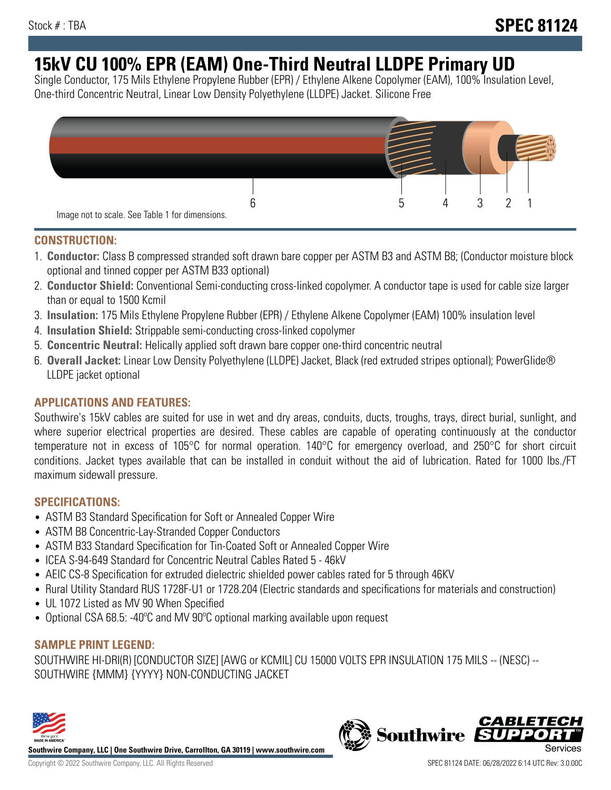# **15kV CU 100% EPR (EAM) One-Third Neutral LLDPE Primary UD**

Single Conductor, 175 Mils Ethylene Propylene Rubber (EPR) / Ethylene Alkene Copolymer (EAM), 100% Insulation Level, One-third Concentric Neutral, Linear Low Density Polyethylene (LLDPE) Jacket. Silicone Free



#### **CONSTRUCTION:**

- 1. **Conductor:** Class B compressed stranded soft drawn bare copper per ASTM B3 and ASTM B8; (Conductor moisture block optional and tinned copper per ASTM B33 optional)
- 2. **Conductor Shield:** Conventional Semi-conducting cross-linked copolymer. A conductor tape is used for cable size larger than or equal to 1500 Kcmil
- 3. **Insulation:** 175 Mils Ethylene Propylene Rubber (EPR) / Ethylene Alkene Copolymer (EAM) 100% insulation level
- 4. **Insulation Shield:** Strippable semi-conducting cross-linked copolymer
- 5. **Concentric Neutral:** Helically applied soft drawn bare copper one-third concentric neutral
- 6. **Overall Jacket:** Linear Low Density Polyethylene (LLDPE) Jacket, Black (red extruded stripes optional); PowerGlide® LLDPE jacket optional

### **APPLICATIONS AND FEATURES:**

Southwire's 15kV cables are suited for use in wet and dry areas, conduits, ducts, troughs, trays, direct burial, sunlight, and where superior electrical properties are desired. These cables are capable of operating continuously at the conductor temperature not in excess of 105°C for normal operation. 140°C for emergency overload, and 250°C for short circuit conditions. Jacket types available that can be installed in conduit without the aid of lubrication. Rated for 1000 lbs./FT maximum sidewall pressure.

#### **SPECIFICATIONS:**

- ASTM B3 Standard Specification for Soft or Annealed Copper Wire
- ASTM B8 Concentric-Lay-Stranded Copper Conductors
- ASTM B33 Standard Specification for Tin-Coated Soft or Annealed Copper Wire
- ICEA S-94-649 Standard for Concentric Neutral Cables Rated 5 46kV
- AEIC CS-8 Specification for extruded dielectric shielded power cables rated for 5 through 46KV
- Rural Utility Standard RUS 1728F-U1 or 1728.204 (Electric standards and specifications for materials and construction)
- UL 1072 Listed as MV 90 When Specified
- Optional CSA 68.5: -40°C and MV 90°C optional marking available upon request

#### **SAMPLE PRINT LEGEND:**

SOUTHWIRE HI-DRI(R) [CONDUCTOR SIZE] [AWG or KCMIL] CU 15000 VOLTS EPR INSULATION 175 MILS -- (NESC) -- SOUTHWIRE {MMM} {YYYY} NON-CONDUCTING JACKET



**Southwire Company, LLC | One Southwire Drive, Carrollton, GA 30119 | www.southwire.com**